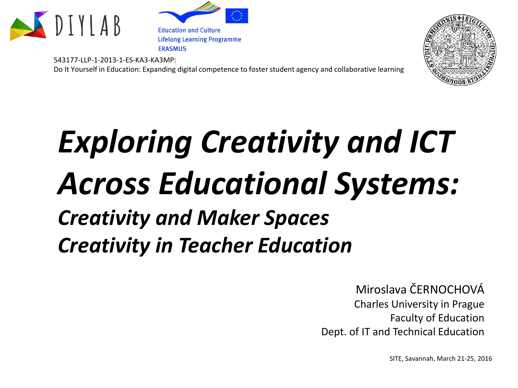

**Education and Culture Lifelong Learning Programme ERASMUS** 

543177-LLP-1-2013-1-ES-KA3-KA3MP: Do It Yourself in Education: Expanding digital competence to foster student agency and collaborative learning



## *Exploring Creativity and ICT Across Educational Systems: Creativity and Maker Spaces Creativity in Teacher Education*

Miroslava ČERNOCHOVÁ Charles University in Prague Faculty of Education Dept. of IT and Technical Education

SITE, Savannah, March 21-25, 2016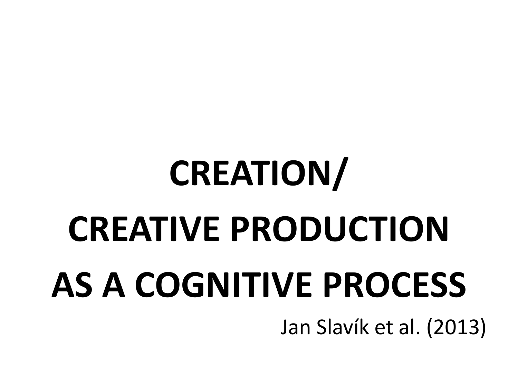## **CREATION/ CREATIVE PRODUCTION AS A COGNITIVE PROCESS** Jan Slavík et al. (2013)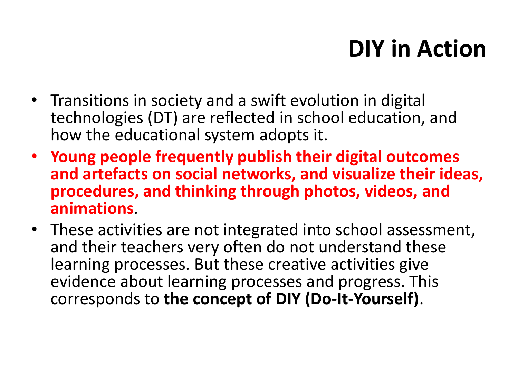## **DIY in Action**

- Transitions in society and a swift evolution in digital technologies (DT) are reflected in school education, and how the educational system adopts it.
- **Young people frequently publish their digital outcomes and artefacts on social networks, and visualize their ideas, procedures, and thinking through photos, videos, and animations**.
- These activities are not integrated into school assessment, and their teachers very often do not understand these learning processes. But these creative activities give evidence about learning processes and progress. This corresponds to **the concept of DIY (Do-It-Yourself)**.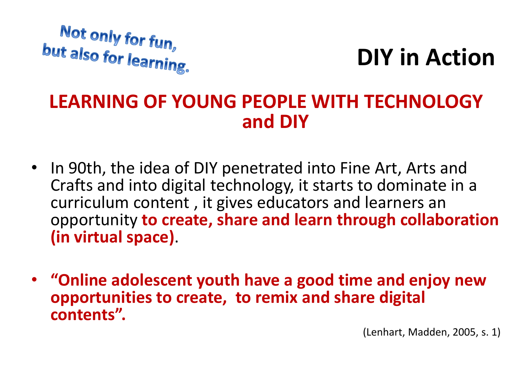

**DIY in Action**

#### **LEARNING OF YOUNG PEOPLE WITH TECHNOLOGY and DIY**

- In 90th, the idea of DIY penetrated into Fine Art, Arts and Crafts and into digital technology, it starts to dominate in a curriculum content , it gives educators and learners an opportunity **to create, share and learn through collaboration (in virtual space)**.
- **"Online adolescent youth have a good time and enjoy new opportunities to create, to remix and share digital contents".**

(Lenhart, Madden, 2005, s. 1)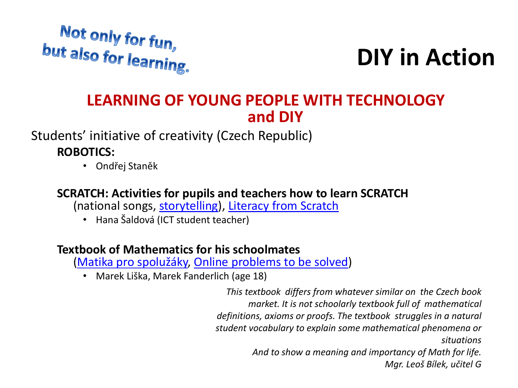

## **DIY in Action**

#### **LEARNING OF YOUNG PEOPLE WITH TECHNOLOGY and DIY**

Students' initiative of creativity (Czech Republic)

**ROBOTICS:**

• Ondřej Staněk

#### **SCRATCH: Activities for pupils and teachers how to learn SCRATCH**

(national songs, [storytelling](http://hanka.gjk.cz/201415_r1a/scratch.php)), [Literacy](http://www.literacyfromscratch.org.uk/index.htm) from Scratch

• Hana Šaldová (ICT student teacher)

#### **Textbook of Mathematics for his schoolmates**

([Matika pro spolužáky](http://www.ucebnicematiky.cz/), [Online problems](http://www.ucebnicematiky.cz/priklady/) to be solved)

• Marek Liška, Marek Fanderlich (age 18)

*This textbook differs from whatever similar on the Czech book market. It is not schoolarly textbook full of mathematical definitions, axioms or proofs. The textbook struggles in a natural student vocabulary to explain some mathematical phenomena or situations And to show a meaning and importancy of Math for life. Mgr. Leoš Bílek, učitel G*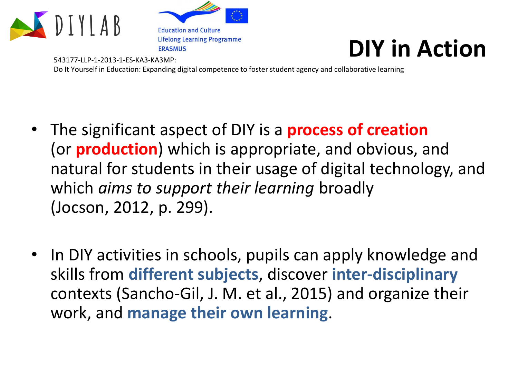

543177-LLP-1-2013-1-ES-KA3-KA3MP:

**Education and Culture Lifelong Learning Programme ERASMUS** 

## **DIY in Action**

Do It Yourself in Education: Expanding digital competence to foster student agency and collaborative learning

- The significant aspect of DIY is a **process of creation** (or **production**) which is appropriate, and obvious, and natural for students in their usage of digital technology, and which *aims to support their learning* broadly (Jocson, 2012, p. 299).
- In DIY activities in schools, pupils can apply knowledge and skills from **different subjects**, discover **inter-disciplinary** contexts (Sancho-Gil, J. M. et al., 2015) and organize their work, and **manage their own learning**.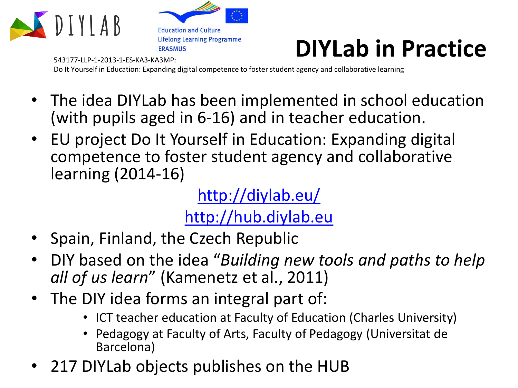





Do It Yourself in Education: Expanding digital competence to foster student agency and collaborative learning

- The idea DIYLab has been implemented in school education (with pupils aged in 6-16) and in teacher education.
- EU project Do It Yourself in Education: Expanding digital competence to foster student agency and collaborative learning (2014-16)

<http://diylab.eu/> [http://hub.diylab.eu](http://hub.diylab.eu/)

- Spain, Finland, the Czech Republic
- DIY based on the idea "*Building new tools and paths to help all of us learn*" (Kamenetz et al., 2011)
- The DIY idea forms an integral part of:
	- ICT teacher education at Faculty of Education (Charles University)
	- Pedagogy at Faculty of Arts, Faculty of Pedagogy (Universitat de Barcelona)
- 217 DIYLab objects publishes on the HUB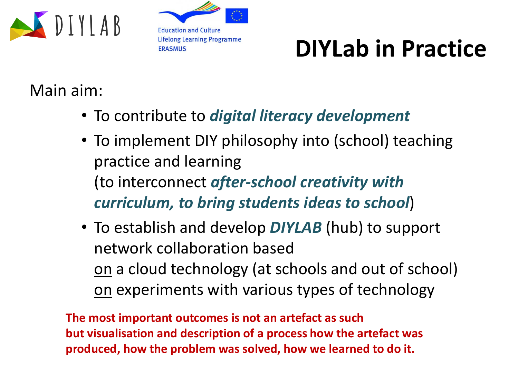



## **DIYLab in Practice**

#### Main aim:

- To contribute to *digital literacy development*
- To implement DIY philosophy into (school) teaching practice and learning (to interconnect *after-school creativity with curriculum, to bring students ideas to school*)
- To establish and develop *DIYLAB* (hub) to support network collaboration based on a cloud technology (at schools and out of school) on experiments with various types of technology

**The most important outcomes is not an artefact as such but visualisation and description of a process how the artefact was produced, how the problem was solved, how we learned to do it.**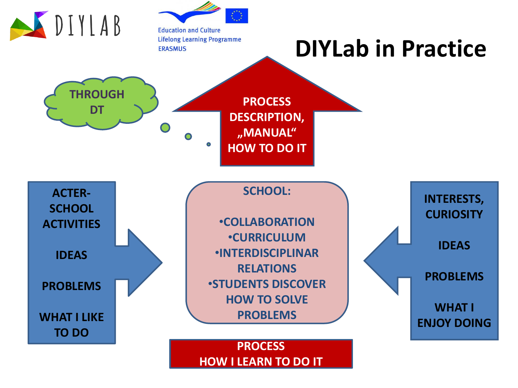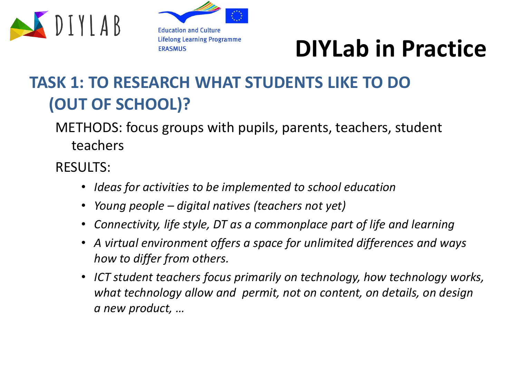





### **TASK 1: TO RESEARCH WHAT STUDENTS LIKE TO DO (OUT OF SCHOOL)?**

METHODS: focus groups with pupils, parents, teachers, student teachers

RESULTS:

- *Ideas for activities to be implemented to school education*
- *Young people – digital natives (teachers not yet)*
- *Connectivity, life style, DT as a commonplace part of life and learning*
- *A virtual environment offers a space for unlimited differences and ways how to differ from others.*
- *ICT student teachers focus primarily on technology, how technology works, what technology allow and permit, not on content, on details, on design a new product, …*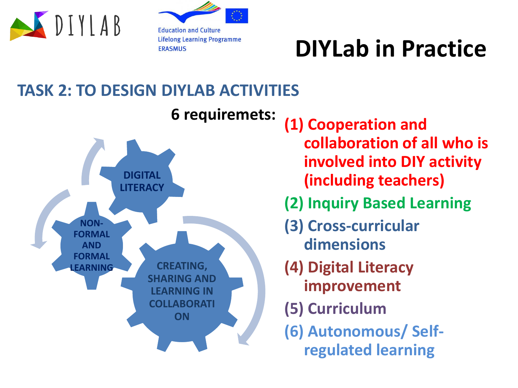

**Education and Culture Lifelong Learning Programme ERASMUS** 

## **DIYLab in Practice**

#### **TASK 2: TO DESIGN DIYLAB ACTIVITIES**



**(1) Cooperation and collaboration of all who is involved into DIY activity (including teachers) (2) Inquiry Based Learning (3) Cross-curricular dimensions (4) Digital Literacy improvement (5) Curriculum (6) Autonomous/ Selfregulated learning**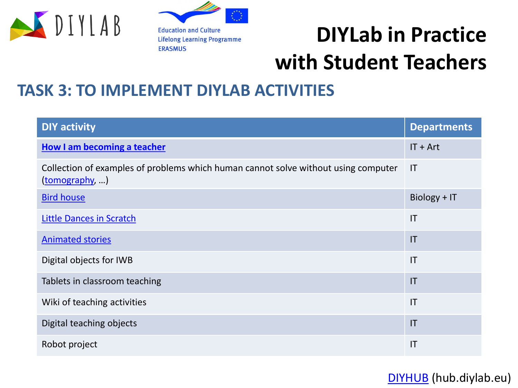

**Education and Culture Lifelong Learning Programme ERASMUS** 

## **DIYLab in Practice with Student Teachers**

#### **TASK 3: TO IMPLEMENT DIYLAB ACTIVITIES**

| <b>DIY activity</b>                                                                                  | <b>Departments</b>     |
|------------------------------------------------------------------------------------------------------|------------------------|
| How I am becoming a teacher                                                                          | $IT + Art$             |
| Collection of examples of problems which human cannot solve without using computer<br>(tomography, ) | $\mathsf{I}\mathsf{T}$ |
| <b>Bird house</b>                                                                                    | Biology + IT           |
| <b>Little Dances in Scratch</b>                                                                      | IT                     |
| <b>Animated stories</b>                                                                              | $\mathsf{I}\mathsf{T}$ |
| Digital objects for IWB                                                                              | $\mathsf{I}\mathsf{T}$ |
| Tablets in classroom teaching                                                                        | $\mathsf{I}\mathsf{T}$ |
| Wiki of teaching activities                                                                          | $\mathsf{I}\mathsf{T}$ |
| Digital teaching objects                                                                             | $\mathsf{I}\mathsf{T}$ |
| Robot project                                                                                        | IT                     |

[DIYHUB](http://hub.diylab.eu/) (hub.diylab.eu)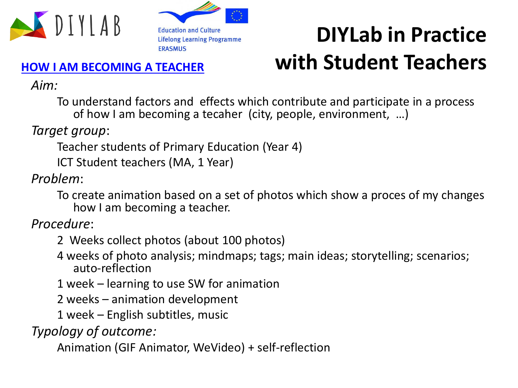



## **DIYLab in Practice with Student Teachers**

#### **[HOW I AM BECOMING A TEACHER](http://hub.diylab.eu/author/ukp/)**

*Aim:*

To understand factors and effects which contribute and participate in a process of how I am becoming a tecaher (city, people, environment, …)

*Target group*:

Teacher students of Primary Education (Year 4)

ICT Student teachers (MA, 1 Year)

*Problem*:

To create animation based on a set of photos which show a proces of my changes how I am becoming a teacher.

*Procedure*:

- 2 Weeks collect photos (about 100 photos)
- 4 weeks of photo analysis; mindmaps; tags; main ideas; storytelling; scenarios; auto-reflection

1 week – learning to use SW for animation

2 weeks – animation development

1 week – English subtitles, music

*Typology of outcome:*

Animation (GIF Animator, WeVideo) + self-reflection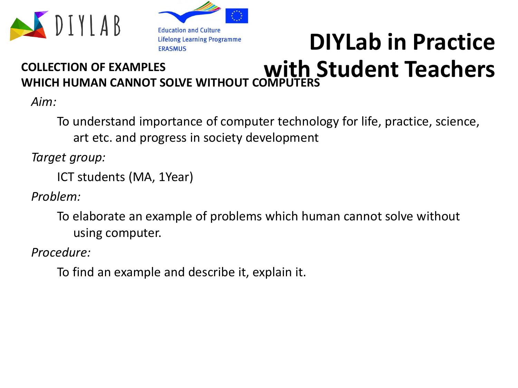



## **DIYLab in Practice with Student Teachers**

#### **COLLECTION OF EXAMPLES WHICH HUMAN CANNOT SOLVE WITHOUT COMPUT**

*Aim:*

To understand importance of computer technology for life, practice, science, art etc. and progress in society development

*Target group:*

ICT students (MA, 1Year)

*Problem:*

To elaborate an example of problems which human cannot solve without using computer.

*Procedure:* 

To find an example and describe it, explain it.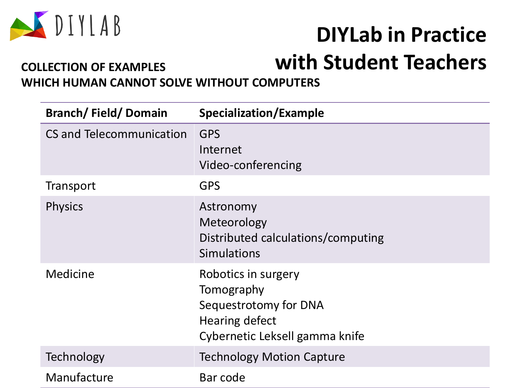

### **DIYLab in Practice with Student Teachers**

#### **COLLECTION OF EXAMPLES WHICH HUMAN CANNOT SOLVE WITHOUT COMPUTERS**

| <b>Branch/Field/Domain</b> | <b>Specialization/Example</b>                                                                                         |
|----------------------------|-----------------------------------------------------------------------------------------------------------------------|
| CS and Telecommunication   | <b>GPS</b><br>Internet<br>Video-conferencing                                                                          |
| Transport                  | <b>GPS</b>                                                                                                            |
| <b>Physics</b>             | Astronomy<br>Meteorology<br>Distributed calculations/computing<br><b>Simulations</b>                                  |
| Medicine                   | Robotics in surgery<br>Tomography<br>Sequestrotomy for DNA<br><b>Hearing defect</b><br>Cybernetic Leksell gamma knife |
| Technology                 | <b>Technology Motion Capture</b>                                                                                      |
| Manufacture                | Bar code                                                                                                              |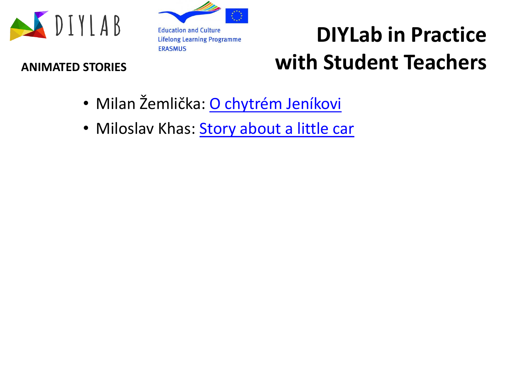



## **DIYLab in Practice ANIMATED STORIES with Student Teachers**

- Milan Žemlička: [O chytrém Jeníkovi](http://hub.diylab.eu/2016/01/27/storytelling-o-chytrem-jenikovi-about-clever-john/)
- Miloslav Khas: [Story about](http://hub.diylab.eu/2016/01/16/1099/) a little car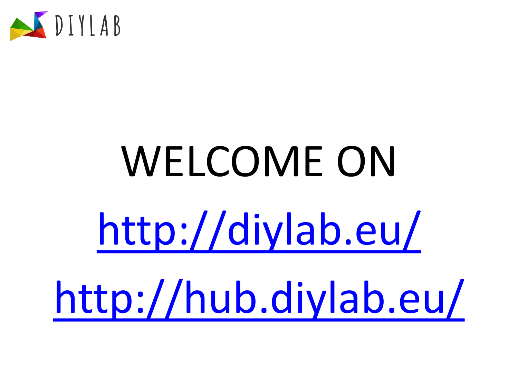

# WELCOME ON <http://diylab.eu/> <http://hub.diylab.eu/>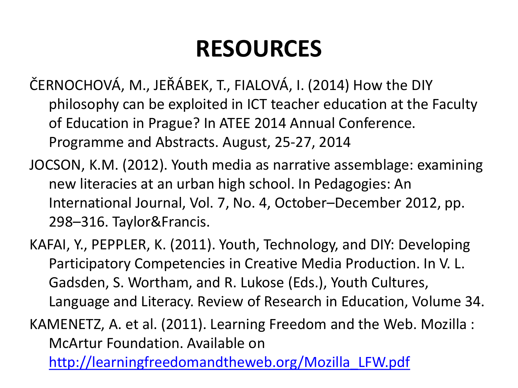## **RESOURCES**

- ČERNOCHOVÁ, M., JEŘÁBEK, T., FIALOVÁ, I. (2014) How the DIY philosophy can be exploited in ICT teacher education at the Faculty of Education in Prague? In ATEE 2014 Annual Conference. Programme and Abstracts. August, 25-27, 2014
- JOCSON, K.M. (2012). Youth media as narrative assemblage: examining new literacies at an urban high school. In Pedagogies: An International Journal, Vol. 7, No. 4, October–December 2012, pp. 298–316. Taylor&Francis.
- KAFAI, Y., PEPPLER, K. (2011). Youth, Technology, and DIY: Developing Participatory Competencies in Creative Media Production. In V. L. Gadsden, S. Wortham, and R. Lukose (Eds.), Youth Cultures, Language and Literacy. Review of Research in Education, Volume 34.

KAMENETZ, A. et al. (2011). Learning Freedom and the Web. Mozilla : McArtur Foundation. Available on

[http://learningfreedomandtheweb.org/Mozilla\\_LFW.pdf](http://learningfreedomandtheweb.org/Mozilla_LFW.pdf)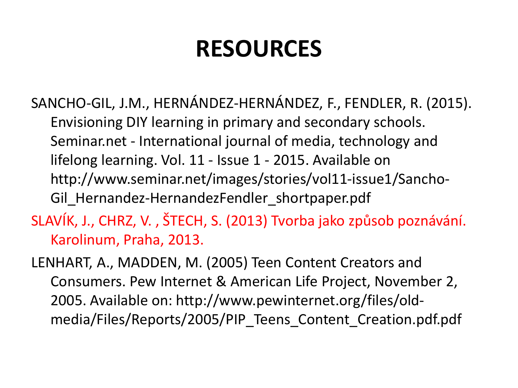## **RESOURCES**

- SANCHO-GIL, J.M., HERNÁNDEZ-HERNÁNDEZ, F., FENDLER, R. (2015). Envisioning DIY learning in primary and secondary schools. Seminar.net - International journal of media, technology and lifelong learning. Vol. 11 - Issue 1 - 2015. Available on http://www.seminar.net/images/stories/vol11-issue1/Sancho-Gil\_Hernandez-HernandezFendler\_shortpaper.pdf
- SLAVÍK, J., CHRZ, V. , ŠTECH, S. (2013) Tvorba jako způsob poznávání. Karolinum, Praha, 2013.
- LENHART, A., MADDEN, M. (2005) Teen Content Creators and Consumers. Pew Internet & American Life Project, November 2, 2005. Available on: http://www.pewinternet.org/files/oldmedia/Files/Reports/2005/PIP\_Teens\_Content\_Creation.pdf.pdf